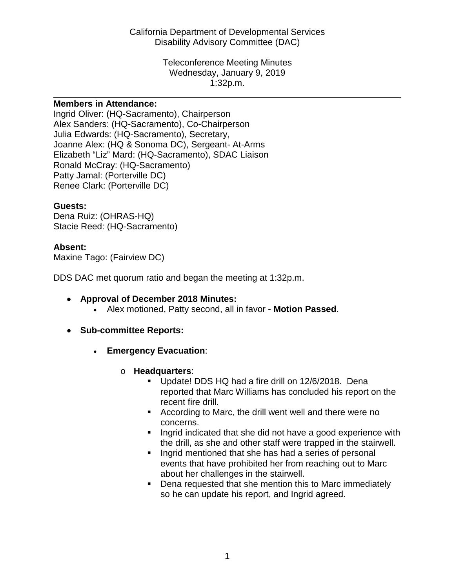California Department of Developmental Services Disability Advisory Committee (DAC)

> Teleconference Meeting Minutes Wednesday, January 9, 2019 1:32p.m.

#### **Members in Attendance:**

Ingrid Oliver: (HQ-Sacramento), Chairperson Alex Sanders: (HQ-Sacramento), Co-Chairperson Julia Edwards: (HQ-Sacramento), Secretary, Joanne Alex: (HQ & Sonoma DC), Sergeant- At-Arms Elizabeth "Liz" Mard: (HQ-Sacramento), SDAC Liaison Ronald McCray: (HQ-Sacramento) Patty Jamal: (Porterville DC) Renee Clark: (Porterville DC)

#### **Guests:**

Dena Ruiz: (OHRAS-HQ) Stacie Reed: (HQ-Sacramento)

### **Absent:**

Maxine Tago: (Fairview DC)

DDS DAC met quorum ratio and began the meeting at 1:32p.m.

- **Approval of December 2018 Minutes:**
	- Alex motioned, Patty second, all in favor **Motion Passed**.
- **Sub-committee Reports:**
	- **Emergency Evacuation**:
		- o **Headquarters**:
			- Update! DDS HQ had a fire drill on 12/6/2018. Dena reported that Marc Williams has concluded his report on the recent fire drill.
			- **According to Marc, the drill went well and there were no** concerns.
			- **If** Ingrid indicated that she did not have a good experience with the drill, as she and other staff were trapped in the stairwell.
			- **Ingrid mentioned that she has had a series of personal** events that have prohibited her from reaching out to Marc about her challenges in the stairwell.
			- **Dena requested that she mention this to Marc immediately** so he can update his report, and Ingrid agreed.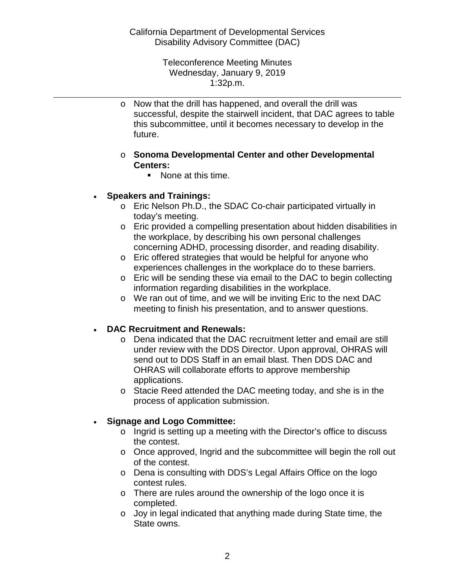Teleconference Meeting Minutes Wednesday, January 9, 2019 1:32p.m.

o Now that the drill has happened, and overall the drill was successful, despite the stairwell incident, that DAC agrees to table this subcommittee, until it becomes necessary to develop in the future.

### o **Sonoma Developmental Center and other Developmental Centers:**

■ None at this time.

## • **Speakers and Trainings:**

- o Eric Nelson Ph.D., the SDAC Co-chair participated virtually in today's meeting.
- o Eric provided a compelling presentation about hidden disabilities in the workplace, by describing his own personal challenges concerning ADHD, processing disorder, and reading disability.
- o Eric offered strategies that would be helpful for anyone who experiences challenges in the workplace do to these barriers.
- o Eric will be sending these via email to the DAC to begin collecting information regarding disabilities in the workplace.
- o We ran out of time, and we will be inviting Eric to the next DAC meeting to finish his presentation, and to answer questions.

## • **DAC Recruitment and Renewals:**

- o Dena indicated that the DAC recruitment letter and email are still under review with the DDS Director. Upon approval, OHRAS will send out to DDS Staff in an email blast. Then DDS DAC and OHRAS will collaborate efforts to approve membership applications.
- o Stacie Reed attended the DAC meeting today, and she is in the process of application submission.

# • **Signage and Logo Committee:**

- o Ingrid is setting up a meeting with the Director's office to discuss the contest.
- o Once approved, Ingrid and the subcommittee will begin the roll out of the contest.
- o Dena is consulting with DDS's Legal Affairs Office on the logo contest rules.
- o There are rules around the ownership of the logo once it is completed.
- o Joy in legal indicated that anything made during State time, the State owns.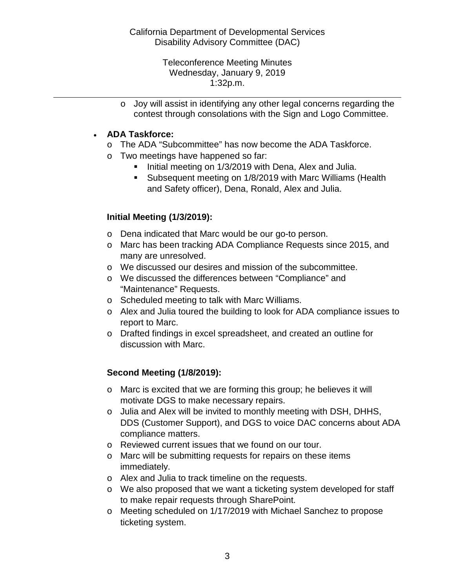Teleconference Meeting Minutes Wednesday, January 9, 2019 1:32p.m.

o Joy will assist in identifying any other legal concerns regarding the contest through consolations with the Sign and Logo Committee.

## • **ADA Taskforce:**

- o The ADA "Subcommittee" has now become the ADA Taskforce.
- o Two meetings have happened so far:
	- Initial meeting on 1/3/2019 with Dena, Alex and Julia.
	- Subsequent meeting on 1/8/2019 with Marc Williams (Health and Safety officer), Dena, Ronald, Alex and Julia.

## **Initial Meeting (1/3/2019):**

- o Dena indicated that Marc would be our go-to person.
- o Marc has been tracking ADA Compliance Requests since 2015, and many are unresolved.
- o We discussed our desires and mission of the subcommittee.
- o We discussed the differences between "Compliance" and "Maintenance" Requests.
- o Scheduled meeting to talk with Marc Williams.
- o Alex and Julia toured the building to look for ADA compliance issues to report to Marc.
- o Drafted findings in excel spreadsheet, and created an outline for discussion with Marc.

# **Second Meeting (1/8/2019):**

- o Marc is excited that we are forming this group; he believes it will motivate DGS to make necessary repairs.
- o Julia and Alex will be invited to monthly meeting with DSH, DHHS, DDS (Customer Support), and DGS to voice DAC concerns about ADA compliance matters.
- o Reviewed current issues that we found on our tour.
- o Marc will be submitting requests for repairs on these items immediately.
- o Alex and Julia to track timeline on the requests.
- $\circ$  We also proposed that we want a ticketing system developed for staff to make repair requests through SharePoint.
- o Meeting scheduled on 1/17/2019 with Michael Sanchez to propose ticketing system.